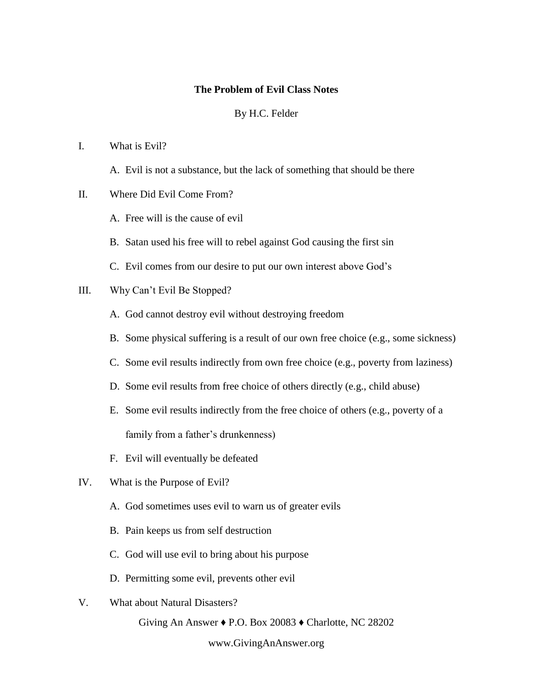#### **The Problem of Evil Class Notes**

#### By H.C. Felder

### I. What is Evil?

A. Evil is not a substance, but the lack of something that should be there

### II. Where Did Evil Come From?

- A. Free will is the cause of evil
- B. Satan used his free will to rebel against God causing the first sin
- C. Evil comes from our desire to put our own interest above God's

### III. Why Can't Evil Be Stopped?

- A. God cannot destroy evil without destroying freedom
- B. Some physical suffering is a result of our own free choice (e.g., some sickness)
- C. Some evil results indirectly from own free choice (e.g., poverty from laziness)
- D. Some evil results from free choice of others directly (e.g., child abuse)
- E. Some evil results indirectly from the free choice of others (e.g., poverty of a family from a father's drunkenness)
- F. Evil will eventually be defeated
- IV. What is the Purpose of Evil?
	- A. God sometimes uses evil to warn us of greater evils
	- B. Pain keeps us from self destruction
	- C. God will use evil to bring about his purpose
	- D. Permitting some evil, prevents other evil
- V. What about Natural Disasters?

Giving An Answer ♦ P.O. Box 20083 ♦ Charlotte, NC 28202

www.GivingAnAnswer.org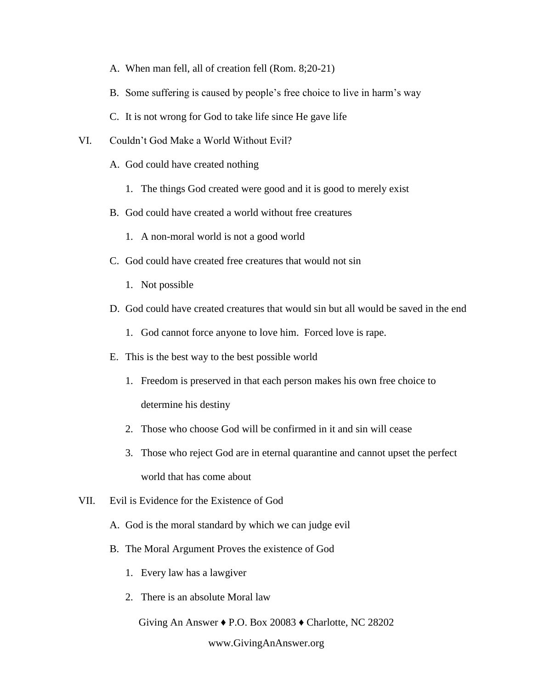- A. When man fell, all of creation fell (Rom. 8;20-21)
- B. Some suffering is caused by people's free choice to live in harm's way
- C. It is not wrong for God to take life since He gave life
- VI. Couldn't God Make a World Without Evil?
	- A. God could have created nothing
		- 1. The things God created were good and it is good to merely exist
	- B. God could have created a world without free creatures
		- 1. A non-moral world is not a good world
	- C. God could have created free creatures that would not sin
		- 1. Not possible
	- D. God could have created creatures that would sin but all would be saved in the end
		- 1. God cannot force anyone to love him. Forced love is rape.
	- E. This is the best way to the best possible world
		- 1. Freedom is preserved in that each person makes his own free choice to determine his destiny
		- 2. Those who choose God will be confirmed in it and sin will cease
		- 3. Those who reject God are in eternal quarantine and cannot upset the perfect world that has come about
- VII. Evil is Evidence for the Existence of God
	- A. God is the moral standard by which we can judge evil
	- B. The Moral Argument Proves the existence of God
		- 1. Every law has a lawgiver
		- 2. There is an absolute Moral law

Giving An Answer ♦ P.O. Box 20083 ♦ Charlotte, NC 28202

www.GivingAnAnswer.org